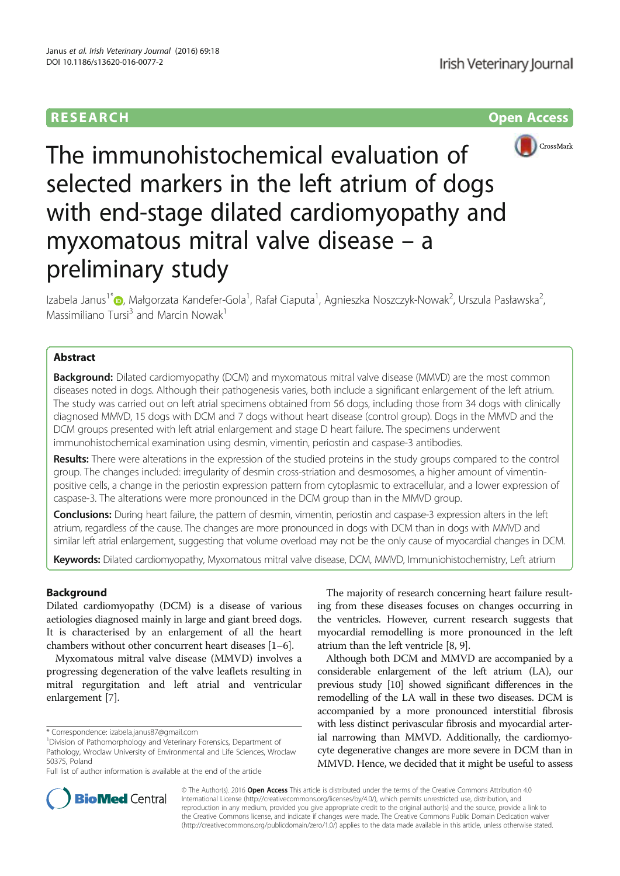# RESEARCH **RESEARCH CONSUMING ACCESS**



The immunohistochemical evaluation of selected markers in the left atrium of dogs with end-stage dilated cardiomyopathy and myxomatous mitral valve disease – a preliminary study

Izabela Janus<sup>1\*</sup>�, Małgorzata Kandefer-Gola<sup>1</sup>, Rafał Ciaputa<sup>1</sup>, Agnieszka Noszczyk-Nowak<sup>2</sup>, Urszula Pasławska<sup>2</sup> , Massimiliano Tursi<sup>3</sup> and Marcin Nowak<sup>1</sup>

# Abstract

**Background:** Dilated cardiomyopathy (DCM) and myxomatous mitral valve disease (MMVD) are the most common diseases noted in dogs. Although their pathogenesis varies, both include a significant enlargement of the left atrium. The study was carried out on left atrial specimens obtained from 56 dogs, including those from 34 dogs with clinically diagnosed MMVD, 15 dogs with DCM and 7 dogs without heart disease (control group). Dogs in the MMVD and the DCM groups presented with left atrial enlargement and stage D heart failure. The specimens underwent immunohistochemical examination using desmin, vimentin, periostin and caspase-3 antibodies.

Results: There were alterations in the expression of the studied proteins in the study groups compared to the control group. The changes included: irregularity of desmin cross-striation and desmosomes, a higher amount of vimentinpositive cells, a change in the periostin expression pattern from cytoplasmic to extracellular, and a lower expression of caspase-3. The alterations were more pronounced in the DCM group than in the MMVD group.

Conclusions: During heart failure, the pattern of desmin, vimentin, periostin and caspase-3 expression alters in the left atrium, regardless of the cause. The changes are more pronounced in dogs with DCM than in dogs with MMVD and similar left atrial enlargement, suggesting that volume overload may not be the only cause of myocardial changes in DCM.

Keywords: Dilated cardiomyopathy, Myxomatous mitral valve disease, DCM, MMVD, Immuniohistochemistry, Left atrium

# Background

Dilated cardiomyopathy (DCM) is a disease of various aetiologies diagnosed mainly in large and giant breed dogs. It is characterised by an enlargement of all the heart chambers without other concurrent heart diseases [1–6].

Myxomatous mitral valve disease (MMVD) involves a progressing degeneration of the valve leaflets resulting in mitral regurgitation and left atrial and ventricular enlargement [7].

The majority of research concerning heart failure resulting from these diseases focuses on changes occurring in the ventricles. However, current research suggests that myocardial remodelling is more pronounced in the left atrium than the left ventricle [8, 9].

Although both DCM and MMVD are accompanied by a considerable enlargement of the left atrium (LA), our previous study [10] showed significant differences in the remodelling of the LA wall in these two diseases. DCM is accompanied by a more pronounced interstitial fibrosis with less distinct perivascular fibrosis and myocardial arterial narrowing than MMVD. Additionally, the cardiomyocyte degenerative changes are more severe in DCM than in MMVD. Hence, we decided that it might be useful to assess



© The Author(s). 2016 Open Access This article is distributed under the terms of the Creative Commons Attribution 4.0 International License (http://creativecommons.org/licenses/by/4.0/), which permits unrestricted use, distribution, and reproduction in any medium, provided you give appropriate credit to the original author(s) and the source, provide a link to the Creative Commons license, and indicate if changes were made. The Creative Commons Public Domain Dedication waiver (http://creativecommons.org/publicdomain/zero/1.0/) applies to the data made available in this article, unless otherwise stated.

<sup>\*</sup> Correspondence: izabela.janus87@gmail.com <sup>1</sup>

<sup>&</sup>lt;sup>1</sup>Division of Pathomorphology and Veterinary Forensics, Department of Pathology, Wroclaw University of Environmental and Life Sciences, Wroclaw 50375, Poland

Full list of author information is available at the end of the article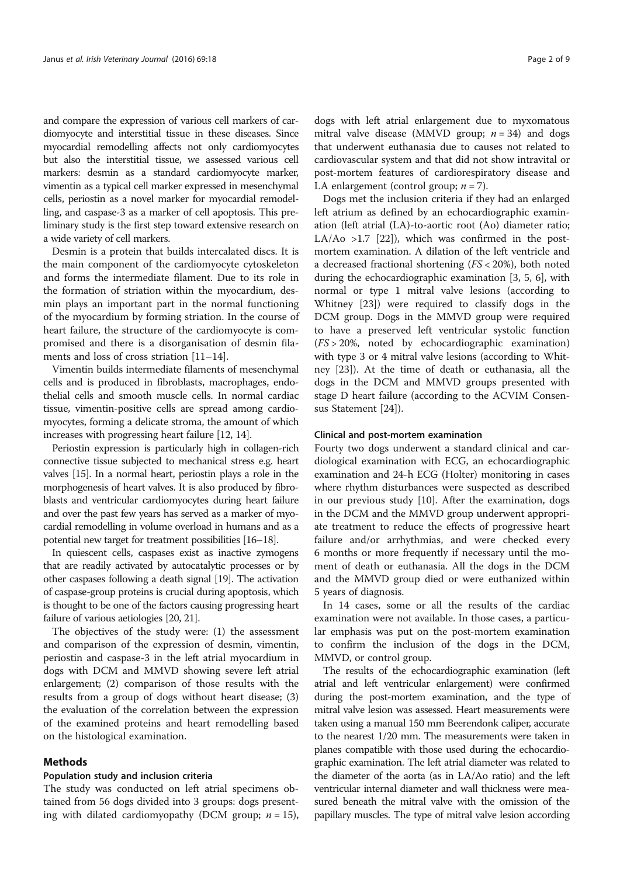and compare the expression of various cell markers of cardiomyocyte and interstitial tissue in these diseases. Since myocardial remodelling affects not only cardiomyocytes but also the interstitial tissue, we assessed various cell markers: desmin as a standard cardiomyocyte marker, vimentin as a typical cell marker expressed in mesenchymal cells, periostin as a novel marker for myocardial remodelling, and caspase-3 as a marker of cell apoptosis. This preliminary study is the first step toward extensive research on a wide variety of cell markers.

Desmin is a protein that builds intercalated discs. It is the main component of the cardiomyocyte cytoskeleton and forms the intermediate filament. Due to its role in the formation of striation within the myocardium, desmin plays an important part in the normal functioning of the myocardium by forming striation. In the course of heart failure, the structure of the cardiomyocyte is compromised and there is a disorganisation of desmin filaments and loss of cross striation [11–14].

Vimentin builds intermediate filaments of mesenchymal cells and is produced in fibroblasts, macrophages, endothelial cells and smooth muscle cells. In normal cardiac tissue, vimentin-positive cells are spread among cardiomyocytes, forming a delicate stroma, the amount of which increases with progressing heart failure [12, 14].

Periostin expression is particularly high in collagen-rich connective tissue subjected to mechanical stress e.g. heart valves [15]. In a normal heart, periostin plays a role in the morphogenesis of heart valves. It is also produced by fibroblasts and ventricular cardiomyocytes during heart failure and over the past few years has served as a marker of myocardial remodelling in volume overload in humans and as a potential new target for treatment possibilities [16–18].

In quiescent cells, caspases exist as inactive zymogens that are readily activated by autocatalytic processes or by other caspases following a death signal [19]. The activation of caspase-group proteins is crucial during apoptosis, which is thought to be one of the factors causing progressing heart failure of various aetiologies [20, 21].

The objectives of the study were: (1) the assessment and comparison of the expression of desmin, vimentin, periostin and caspase-3 in the left atrial myocardium in dogs with DCM and MMVD showing severe left atrial enlargement; (2) comparison of those results with the results from a group of dogs without heart disease; (3) the evaluation of the correlation between the expression of the examined proteins and heart remodelling based on the histological examination.

# Methods

### Population study and inclusion criteria

The study was conducted on left atrial specimens obtained from 56 dogs divided into 3 groups: dogs presenting with dilated cardiomyopathy (DCM group;  $n = 15$ ), dogs with left atrial enlargement due to myxomatous mitral valve disease (MMVD group;  $n = 34$ ) and dogs that underwent euthanasia due to causes not related to cardiovascular system and that did not show intravital or post-mortem features of cardiorespiratory disease and LA enlargement (control group;  $n = 7$ ).

Dogs met the inclusion criteria if they had an enlarged left atrium as defined by an echocardiographic examination (left atrial (LA)-to-aortic root (Ao) diameter ratio; LA/Ao  $>1.7$  [22]), which was confirmed in the postmortem examination. A dilation of the left ventricle and a decreased fractional shortening (FS < 20%), both noted during the echocardiographic examination [3, 5, 6], with normal or type 1 mitral valve lesions (according to Whitney [23]) were required to classify dogs in the DCM group. Dogs in the MMVD group were required to have a preserved left ventricular systolic function (FS > 20%, noted by echocardiographic examination) with type 3 or 4 mitral valve lesions (according to Whitney [23]). At the time of death or euthanasia, all the dogs in the DCM and MMVD groups presented with stage D heart failure (according to the ACVIM Consensus Statement [24]).

# Clinical and post-mortem examination

Fourty two dogs underwent a standard clinical and cardiological examination with ECG, an echocardiographic examination and 24-h ECG (Holter) monitoring in cases where rhythm disturbances were suspected as described in our previous study [10]. After the examination, dogs in the DCM and the MMVD group underwent appropriate treatment to reduce the effects of progressive heart failure and/or arrhythmias, and were checked every 6 months or more frequently if necessary until the moment of death or euthanasia. All the dogs in the DCM and the MMVD group died or were euthanized within 5 years of diagnosis.

In 14 cases, some or all the results of the cardiac examination were not available. In those cases, a particular emphasis was put on the post-mortem examination to confirm the inclusion of the dogs in the DCM, MMVD, or control group.

The results of the echocardiographic examination (left atrial and left ventricular enlargement) were confirmed during the post-mortem examination, and the type of mitral valve lesion was assessed. Heart measurements were taken using a manual 150 mm Beerendonk caliper, accurate to the nearest 1/20 mm. The measurements were taken in planes compatible with those used during the echocardiographic examination. The left atrial diameter was related to the diameter of the aorta (as in LA/Ao ratio) and the left ventricular internal diameter and wall thickness were measured beneath the mitral valve with the omission of the papillary muscles. The type of mitral valve lesion according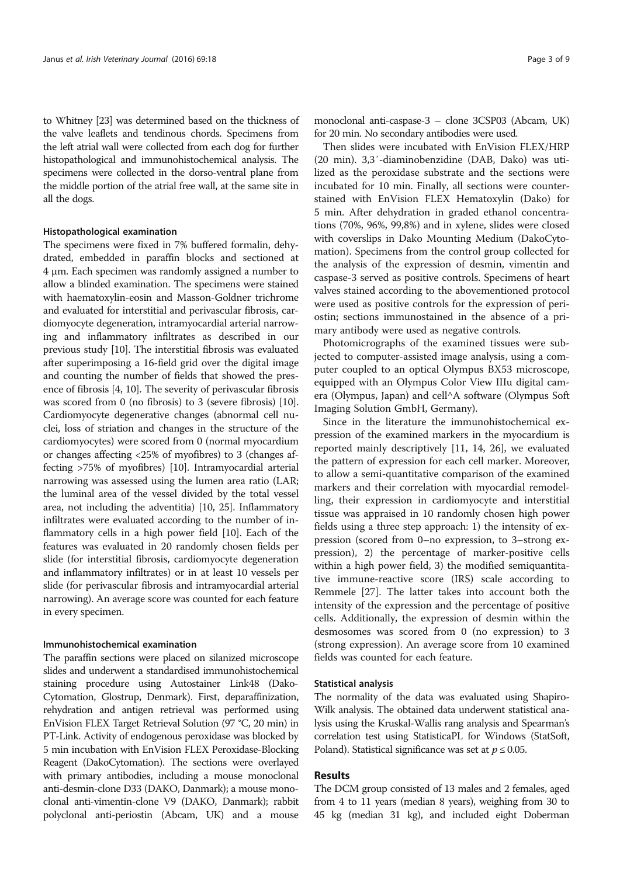to Whitney [23] was determined based on the thickness of the valve leaflets and tendinous chords. Specimens from the left atrial wall were collected from each dog for further histopathological and immunohistochemical analysis. The specimens were collected in the dorso-ventral plane from the middle portion of the atrial free wall, at the same site in all the dogs.

## Histopathological examination

The specimens were fixed in 7% buffered formalin, dehydrated, embedded in paraffin blocks and sectioned at 4 μm. Each specimen was randomly assigned a number to allow a blinded examination. The specimens were stained with haematoxylin-eosin and Masson-Goldner trichrome and evaluated for interstitial and perivascular fibrosis, cardiomyocyte degeneration, intramyocardial arterial narrowing and inflammatory infiltrates as described in our previous study [10]. The interstitial fibrosis was evaluated after superimposing a 16-field grid over the digital image and counting the number of fields that showed the presence of fibrosis [4, 10]. The severity of perivascular fibrosis was scored from 0 (no fibrosis) to 3 (severe fibrosis) [10]. Cardiomyocyte degenerative changes (abnormal cell nuclei, loss of striation and changes in the structure of the cardiomyocytes) were scored from 0 (normal myocardium or changes affecting <25% of myofibres) to 3 (changes affecting >75% of myofibres) [10]. Intramyocardial arterial narrowing was assessed using the lumen area ratio (LAR; the luminal area of the vessel divided by the total vessel area, not including the adventitia) [10, 25]. Inflammatory infiltrates were evaluated according to the number of inflammatory cells in a high power field [10]. Each of the features was evaluated in 20 randomly chosen fields per slide (for interstitial fibrosis, cardiomyocyte degeneration and inflammatory infiltrates) or in at least 10 vessels per slide (for perivascular fibrosis and intramyocardial arterial narrowing). An average score was counted for each feature in every specimen.

# Immunohistochemical examination

The paraffin sections were placed on silanized microscope slides and underwent a standardised immunohistochemical staining procedure using Autostainer Link48 (Dako-Cytomation, Glostrup, Denmark). First, deparaffinization, rehydration and antigen retrieval was performed using EnVision FLEX Target Retrieval Solution (97 °C, 20 min) in PT-Link. Activity of endogenous peroxidase was blocked by 5 min incubation with EnVision FLEX Peroxidase-Blocking Reagent (DakoCytomation). The sections were overlayed with primary antibodies, including a mouse monoclonal anti-desmin-clone D33 (DAKO, Danmark); a mouse monoclonal anti-vimentin-clone V9 (DAKO, Danmark); rabbit polyclonal anti-periostin (Abcam, UK) and a mouse monoclonal anti-caspase-3 – clone 3CSP03 (Abcam, UK) for 20 min. No secondary antibodies were used.

Then slides were incubated with EnVision FLEX/HRP (20 min). 3,3′-diaminobenzidine (DAB, Dako) was utilized as the peroxidase substrate and the sections were incubated for 10 min. Finally, all sections were counterstained with EnVision FLEX Hematoxylin (Dako) for 5 min. After dehydration in graded ethanol concentrations (70%, 96%, 99,8%) and in xylene, slides were closed with coverslips in Dako Mounting Medium (DakoCytomation). Specimens from the control group collected for the analysis of the expression of desmin, vimentin and caspase-3 served as positive controls. Specimens of heart valves stained according to the abovementioned protocol were used as positive controls for the expression of periostin; sections immunostained in the absence of a primary antibody were used as negative controls.

Photomicrographs of the examined tissues were subjected to computer-assisted image analysis, using a computer coupled to an optical Olympus BX53 microscope, equipped with an Olympus Color View IIIu digital camera (Olympus, Japan) and cell^A software (Olympus Soft Imaging Solution GmbH, Germany).

Since in the literature the immunohistochemical expression of the examined markers in the myocardium is reported mainly descriptively [11, 14, 26], we evaluated the pattern of expression for each cell marker. Moreover, to allow a semi-quantitative comparison of the examined markers and their correlation with myocardial remodelling, their expression in cardiomyocyte and interstitial tissue was appraised in 10 randomly chosen high power fields using a three step approach: 1) the intensity of expression (scored from 0–no expression, to 3–strong expression), 2) the percentage of marker-positive cells within a high power field, 3) the modified semiquantitative immune-reactive score (IRS) scale according to Remmele [27]. The latter takes into account both the intensity of the expression and the percentage of positive cells. Additionally, the expression of desmin within the desmosomes was scored from 0 (no expression) to 3 (strong expression). An average score from 10 examined fields was counted for each feature.

### Statistical analysis

The normality of the data was evaluated using Shapiro-Wilk analysis. The obtained data underwent statistical analysis using the Kruskal-Wallis rang analysis and Spearman's correlation test using StatisticaPL for Windows (StatSoft, Poland). Statistical significance was set at  $p \leq 0.05$ .

# Results

The DCM group consisted of 13 males and 2 females, aged from 4 to 11 years (median 8 years), weighing from 30 to 45 kg (median 31 kg), and included eight Doberman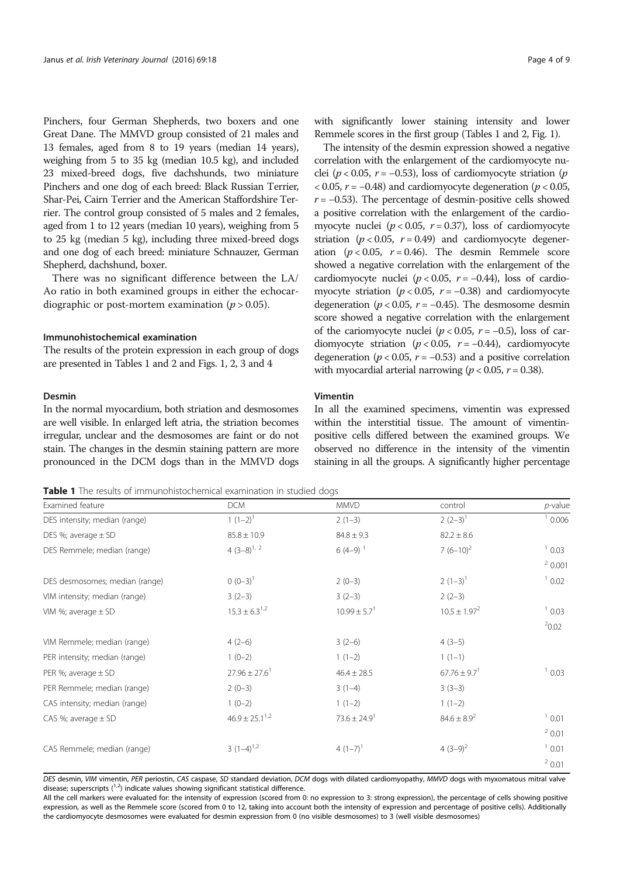Pinchers, four German Shepherds, two boxers and one Great Dane. The MMVD group consisted of 21 males and 13 females, aged from 8 to 19 years (median 14 years), weighing from 5 to 35 kg (median 10.5 kg), and included 23 mixed-breed dogs, five dachshunds, two miniature Pinchers and one dog of each breed: Black Russian Terrier, Shar-Pei, Cairn Terrier and the American Staffordshire Terrier. The control group consisted of 5 males and 2 females, aged from 1 to 12 years (median 10 years), weighing from 5 to 25 kg (median 5 kg), including three mixed-breed dogs and one dog of each breed: miniature Schnauzer, German Shepherd, dachshund, boxer.

There was no significant difference between the LA/ Ao ratio in both examined groups in either the echocardiographic or post-mortem examination ( $p > 0.05$ ).

# Immunohistochemical examination

The results of the protein expression in each group of dogs are presented in Tables 1 and 2 and Figs. 1, 2, 3 and 4

### Desmin

In the normal myocardium, both striation and desmosomes are well visible. In enlarged left atria, the striation becomes irregular, unclear and the desmosomes are faint or do not stain. The changes in the desmin staining pattern are more pronounced in the DCM dogs than in the MMVD dogs

with significantly lower staining intensity and lower Remmele scores in the first group (Tables 1 and 2, Fig. 1).

The intensity of the desmin expression showed a negative correlation with the enlargement of the cardiomyocyte nuclei ( $p < 0.05$ ,  $r = -0.53$ ), loss of cardiomyocyte striation ( $p$  $\langle 0.05, r = -0.48 \rangle$  and cardiomyocyte degeneration ( $p < 0.05$ ,  $r = -0.53$ ). The percentage of desmin-positive cells showed a positive correlation with the enlargement of the cardiomyocyte nuclei ( $p < 0.05$ ,  $r = 0.37$ ), loss of cardiomyocyte striation ( $p < 0.05$ ,  $r = 0.49$ ) and cardiomyocyte degeneration ( $p < 0.05$ ,  $r = 0.46$ ). The desmin Remmele score showed a negative correlation with the enlargement of the cardiomyocyte nuclei ( $p < 0.05$ ,  $r = -0.44$ ), loss of cardiomyocyte striation ( $p < 0.05$ ,  $r = -0.38$ ) and cardiomyocyte degeneration ( $p < 0.05$ ,  $r = -0.45$ ). The desmosome desmin score showed a negative correlation with the enlargement of the cariomyocyte nuclei ( $p < 0.05$ ,  $r = -0.5$ ), loss of cardiomyocyte striation ( $p < 0.05$ ,  $r = -0.44$ ), cardiomyocyte degeneration ( $p < 0.05$ ,  $r = -0.53$ ) and a positive correlation with myocardial arterial narrowing ( $p < 0.05$ ,  $r = 0.38$ ).

# Vimentin

In all the examined specimens, vimentin was expressed within the interstitial tissue. The amount of vimentinpositive cells differed between the examined groups. We observed no difference in the intensity of the vimentin staining in all the groups. A significantly higher percentage

Table 1 The results of immunohistochemical examination in studied dogs

Examined feature the control of the DCM and the MMVD control control p-value DES intensity; median (range)  $1(1-2)^1$  2 (1-3)  $2(2-3)^1$  2 (2-3)<sup>1</sup> 0.006 DES %; average  $\pm$  SD 82.2  $\pm$  8.6  $\pm$  8.6  $\pm$  8.6  $\pm$  8.6  $\pm$  9.6 84.8  $\pm$  9.3 82.2  $\pm$  8.6 DES Remmele; median (range)  $4(3-8)^{1/2}$  6 (4–9)<sup>1</sup> 7 (6–10)<sup>2</sup> 1 0.03  $20.001$ DES desmosomes; median (range)  $0 \times 0^2$  (0–3)<sup>1</sup> 2 (0–3)<sup>2</sup> 2 (0–3)<sup>2</sup> 2 (1–3)<sup>1</sup> 1 0.02 VIM intensity; median (range)  $3(2-3)$   $3(2-3)$   $3(2-3)$   $2(2-3)$ VIM %; average  $\pm$  SD 15.3 ± 6.3<sup>1,2</sup> 10.99  $\pm$  5.7<sup>1</sup> 10.99  $\pm$  5.7<sup>1</sup> 10.5  $\pm$  1.97<sup>2</sup>  $20.02$ VIM Remmele; median (range) 4 (2–6) 3 (2–6) 4 (3–5) PER intensity; median (range) 1 (0–2) 1 (1–2) 1 (1–1) PER %; average  $\pm$  SD 27.96  $\pm$  27.96  $\pm$  27.6<sup>1</sup> 46.4  $\pm$  28.5 67.76  $\pm$  9.7<sup>1</sup> 6.03 PER Remmele; median (range) 2 (0–3) 3 (1–4) 3 (3–3) CAS intensity; median (range)  $1 (0-2)$  1  $(1-2)$  1  $(1-2)$  1  $(1-2)$ CAS %; average  $\pm$  SD  $46.9 \pm 25.1^{1.2}$   $73.6 \pm 24.9^{1}$   $84.6 \pm 8.9^{2}$   $10.01$  $20.01$ CAS Remmele; median (range)  $3(1-4)^{1,2}$   $4(1-7)^{1}$   $4(3-9)^{2}$   $1(0.01)$ <sup>2</sup> 0.01

DES desmin, VIM vimentin, PER periostin, CAS caspase, SD standard deviation, DCM dogs with dilated cardiomyopathy, MMVD dogs with myxomatous mitral valve disease; superscripts  $\binom{1,2}{2}$  indicate values showing significant statistical difference.

All the cell markers were evaluated for: the intensity of expression (scored from 0: no expression to 3: strong expression), the percentage of cells showing positive expression, as well as the Remmele score (scored from 0 to 12, taking into account both the intensity of expression and percentage of positive cells). Additionally the cardiomyocyte desmosomes were evaluated for desmin expression from 0 (no visible desmosomes) to 3 (well visible desmosomes)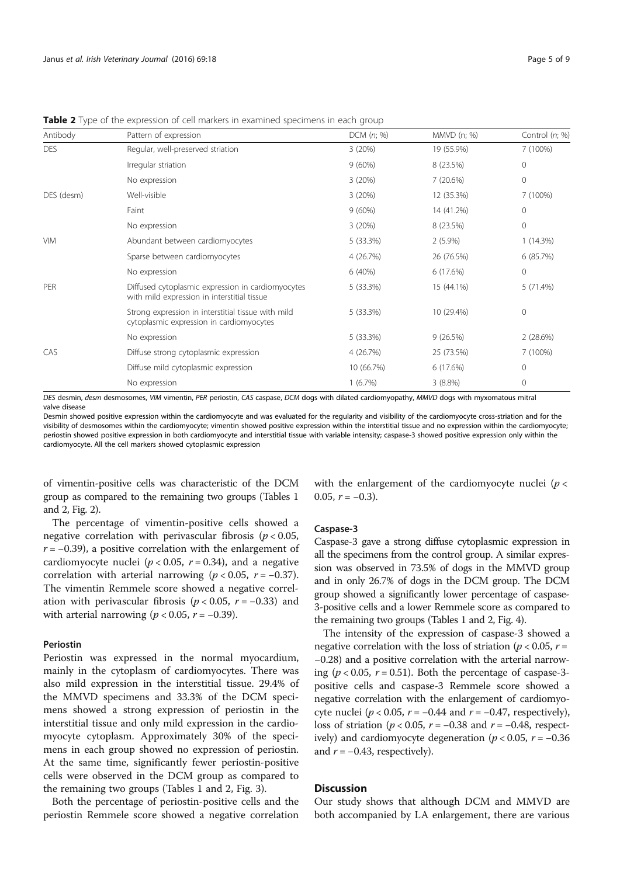| Antibody   | Pattern of expression                                                                            | $DCM$ $(n; %)$ | MMVD (n; %) | Control (n; %) |
|------------|--------------------------------------------------------------------------------------------------|----------------|-------------|----------------|
| <b>DES</b> | Regular, well-preserved striation                                                                | 3(20%)         | 19 (55.9%)  | 7 (100%)       |
|            | Irregular striation                                                                              | 9(60%)         | 8 (23.5%)   | $\mathbf{0}$   |
|            | No expression                                                                                    | 3(20%)         | 7(20.6%)    | $\mathbf 0$    |
| DES (desm) | Well-visible                                                                                     | 3(20%)         | 12 (35.3%)  | 7 (100%)       |
|            | Faint                                                                                            | 9(60%)         | 14 (41.2%)  | 0              |
|            | No expression                                                                                    | 3(20%)         | 8 (23.5%)   | 0              |
| <b>VIM</b> | Abundant between cardiomyocytes                                                                  | 5(33.3%)       | $2(5.9\%)$  | 1(14.3%)       |
|            | Sparse between cardiomyocytes                                                                    | 4 (26.7%)      | 26 (76.5%)  | 6 (85.7%)      |
|            | No expression                                                                                    | 6(40%)         | 6(17.6%)    | 0              |
| PER        | Diffused cytoplasmic expression in cardiomyocytes<br>with mild expression in interstitial tissue | 5(33.3%)       | 15 (44.1%)  | 5(71.4%)       |
|            | Strong expression in interstitial tissue with mild<br>cytoplasmic expression in cardiomyocytes   | 5(33.3%)       | 10 (29.4%)  | 0              |
|            | No expression                                                                                    | 5(33.3%)       | 9(26.5%)    | 2(28.6%)       |
| CAS        | Diffuse strong cytoplasmic expression                                                            | 4 (26.7%)      | 25 (73.5%)  | 7 (100%)       |
|            | Diffuse mild cytoplasmic expression                                                              | 10 (66.7%)     | 6 (17.6%)   | 0              |
|            | No expression                                                                                    | 1(6.7%)        | $3(8.8\%)$  | 0              |

**Table 2** Type of the expression of cell markers in examined specimens in each group

DES desmin, desm desmosomes, VIM vimentin, PER periostin, CAS caspase, DCM dogs with dilated cardiomyopathy, MMVD dogs with myxomatous mitral valve disease

Desmin showed positive expression within the cardiomyocyte and was evaluated for the regularity and visibility of the cardiomyocyte cross-striation and for the visibility of desmosomes within the cardiomyocyte; vimentin showed positive expression within the interstitial tissue and no expression within the cardiomyocyte; periostin showed positive expression in both cardiomyocyte and interstitial tissue with variable intensity; caspase-3 showed positive expression only within the cardiomyocyte. All the cell markers showed cytoplasmic expression

of vimentin-positive cells was characteristic of the DCM group as compared to the remaining two groups (Tables 1 and 2, Fig. 2).

The percentage of vimentin-positive cells showed a negative correlation with perivascular fibrosis ( $p < 0.05$ ,  $r = -0.39$ ), a positive correlation with the enlargement of cardiomyocyte nuclei ( $p < 0.05$ ,  $r = 0.34$ ), and a negative correlation with arterial narrowing ( $p < 0.05$ ,  $r = -0.37$ ). The vimentin Remmele score showed a negative correlation with perivascular fibrosis ( $p < 0.05$ ,  $r = -0.33$ ) and with arterial narrowing ( $p < 0.05$ ,  $r = -0.39$ ).

# Periostin

Periostin was expressed in the normal myocardium, mainly in the cytoplasm of cardiomyocytes. There was also mild expression in the interstitial tissue. 29.4% of the MMVD specimens and 33.3% of the DCM specimens showed a strong expression of periostin in the interstitial tissue and only mild expression in the cardiomyocyte cytoplasm. Approximately 30% of the specimens in each group showed no expression of periostin. At the same time, significantly fewer periostin-positive cells were observed in the DCM group as compared to the remaining two groups (Tables 1 and 2, Fig. 3).

Both the percentage of periostin-positive cells and the periostin Remmele score showed a negative correlation with the enlargement of the cardiomyocyte nuclei ( $p <$ 0.05,  $r = -0.3$ ).

# Caspase-3

Caspase-3 gave a strong diffuse cytoplasmic expression in all the specimens from the control group. A similar expression was observed in 73.5% of dogs in the MMVD group and in only 26.7% of dogs in the DCM group. The DCM group showed a significantly lower percentage of caspase-3-positive cells and a lower Remmele score as compared to the remaining two groups (Tables 1 and 2, Fig. 4).

The intensity of the expression of caspase-3 showed a negative correlation with the loss of striation ( $p < 0.05$ ,  $r =$ −0.28) and a positive correlation with the arterial narrowing ( $p < 0.05$ ,  $r = 0.51$ ). Both the percentage of caspase-3positive cells and caspase-3 Remmele score showed a negative correlation with the enlargement of cardiomyocyte nuclei ( $p < 0.05$ ,  $r = -0.44$  and  $r = -0.47$ , respectively), loss of striation ( $p < 0.05$ ,  $r = -0.38$  and  $r = -0.48$ , respectively) and cardiomyocyte degeneration ( $p < 0.05$ ,  $r = -0.36$ and  $r = -0.43$ , respectively).

# **Discussion**

Our study shows that although DCM and MMVD are both accompanied by LA enlargement, there are various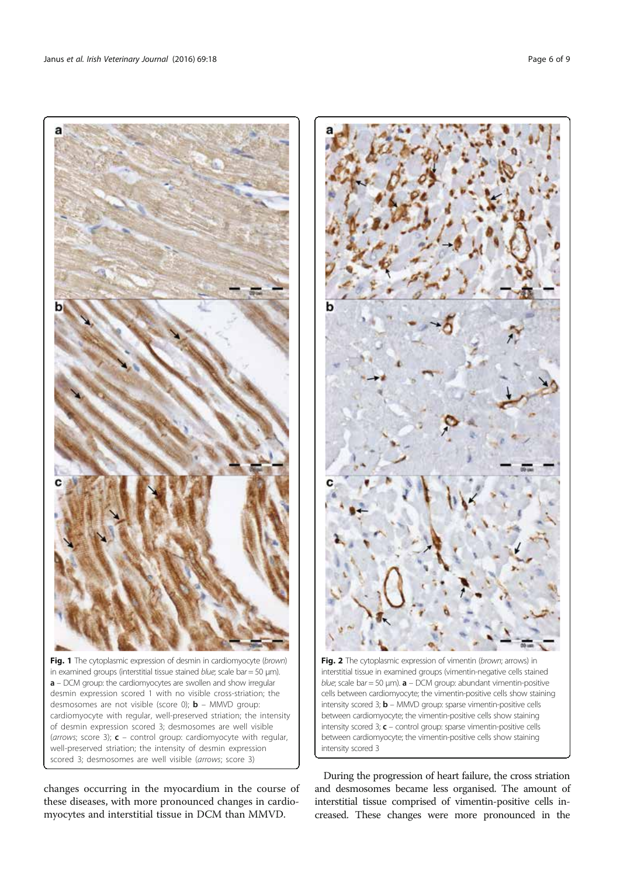

Fig. 1 The cytoplasmic expression of desmin in cardiomyocyte (brown) in examined groups (interstitial tissue stained blue; scale bar = 50  $\mu$ m). a – DCM group: the cardiomyocytes are swollen and show irregular desmin expression scored 1 with no visible cross-striation; the desmosomes are not visible (score 0);  $\mathbf{b}$  – MMVD group: cardiomyocyte with regular, well-preserved striation; the intensity of desmin expression scored 3; desmosomes are well visible (arrows; score 3);  $c$  – control group: cardiomyocyte with regular, well-preserved striation; the intensity of desmin expression scored 3; desmosomes are well visible (arrows; score 3)

changes occurring in the myocardium in the course of these diseases, with more pronounced changes in cardiomyocytes and interstitial tissue in DCM than MMVD.



Fig. 2 The cytoplasmic expression of vimentin (brown; arrows) in interstitial tissue in examined groups (vimentin-negative cells stained blue; scale bar = 50  $\mu$ m).  $a$  – DCM group: abundant vimentin-positive cells between cardiomyocyte; the vimentin-positive cells show staining intensity scored 3;  $\mathbf{b}$  – MMVD group: sparse vimentin-positive cells between cardiomyocyte; the vimentin-positive cells show staining intensity scored 3;  $c$  – control group: sparse vimentin-positive cells between cardiomyocyte; the vimentin-positive cells show staining intensity scored 3

During the progression of heart failure, the cross striation and desmosomes became less organised. The amount of interstitial tissue comprised of vimentin-positive cells increased. These changes were more pronounced in the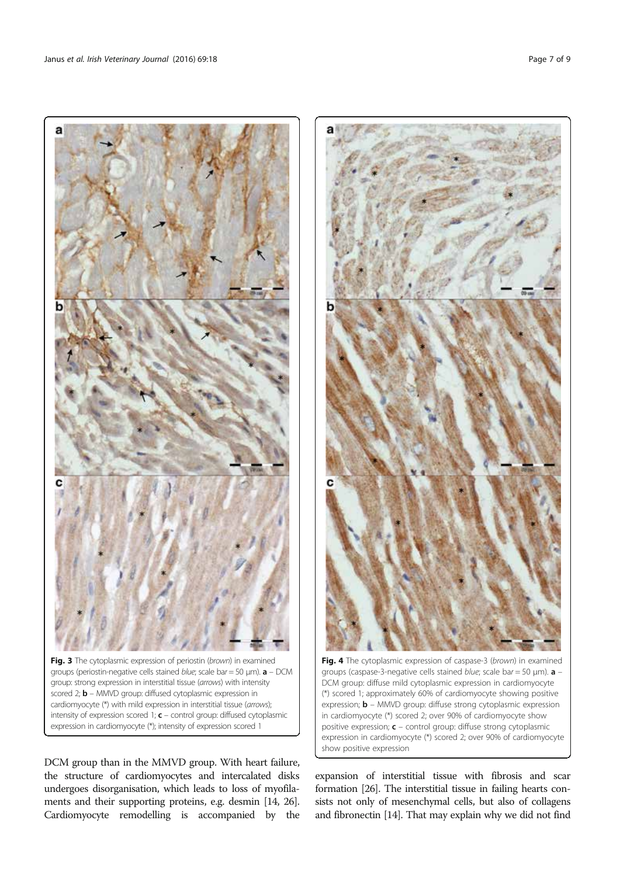

Fig. 3 The cytoplasmic expression of periostin (brown) in examined groups (periostin-negative cells stained blue; scale bar = 50  $\mu$ m).  $a$  – DCM group: strong expression in interstitial tissue (arrows) with intensity scored 2; **b** – MMVD group: diffused cytoplasmic expression in cardiomyocyte (\*) with mild expression in interstitial tissue (arrows); intensity of expression scored 1;  $c$  – control group: diffused cytoplasmic expression in cardiomyocyte (\*); intensity of expression scored 1

DCM group than in the MMVD group. With heart failure, the structure of cardiomyocytes and intercalated disks undergoes disorganisation, which leads to loss of myofilaments and their supporting proteins, e.g. desmin [14, 26]. Cardiomyocyte remodelling is accompanied by the



Fig. 4 The cytoplasmic expression of caspase-3 (brown) in examined groups (caspase-3-negative cells stained *blue*; scale bar = 50 um).  $\mathbf{a}$  -DCM group: diffuse mild cytoplasmic expression in cardiomyocyte (\*) scored 1; approximately 60% of cardiomyocyte showing positive expression;  **– MMVD group: diffuse strong cytoplasmic expression** in cardiomyocyte (\*) scored 2; over 90% of cardiomyocyte show positive expression;  $c$  – control group: diffuse strong cytoplasmic expression in cardiomyocyte (\*) scored 2; over 90% of cardiomyocyte show positive expression

expansion of interstitial tissue with fibrosis and scar formation [26]. The interstitial tissue in failing hearts consists not only of mesenchymal cells, but also of collagens and fibronectin [14]. That may explain why we did not find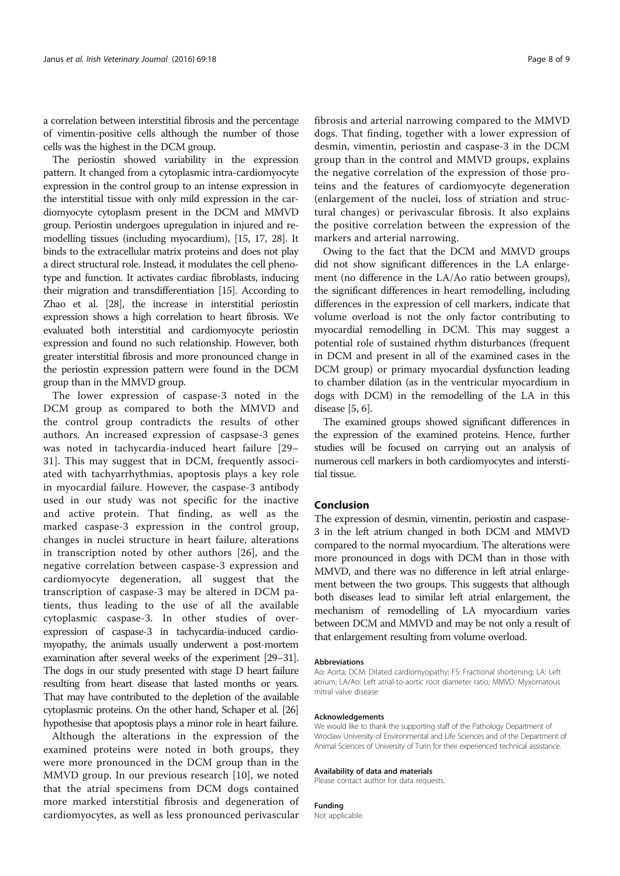a correlation between interstitial fibrosis and the percentage of vimentin-positive cells although the number of those cells was the highest in the DCM group.

The periostin showed variability in the expression pattern. It changed from a cytoplasmic intra-cardiomyocyte expression in the control group to an intense expression in the interstitial tissue with only mild expression in the cardiomyocyte cytoplasm present in the DCM and MMVD group. Periostin undergoes upregulation in injured and remodelling tissues (including myocardium), [15, 17, 28]. It binds to the extracellular matrix proteins and does not play a direct structural role. Instead, it modulates the cell phenotype and function. It activates cardiac fibroblasts, inducing their migration and transdifferentiation [15]. According to Zhao et al. [28], the increase in interstitial periostin expression shows a high correlation to heart fibrosis. We evaluated both interstitial and cardiomyocyte periostin expression and found no such relationship. However, both greater interstitial fibrosis and more pronounced change in the periostin expression pattern were found in the DCM group than in the MMVD group.

The lower expression of caspase-3 noted in the DCM group as compared to both the MMVD and the control group contradicts the results of other authors. An increased expression of caspsase-3 genes was noted in tachycardia-induced heart failure [29– 31]. This may suggest that in DCM, frequently associated with tachyarrhythmias, apoptosis plays a key role in myocardial failure. However, the caspase-3 antibody used in our study was not specific for the inactive and active protein. That finding, as well as the marked caspase-3 expression in the control group, changes in nuclei structure in heart failure, alterations in transcription noted by other authors [26], and the negative correlation between caspase-3 expression and cardiomyocyte degeneration, all suggest that the transcription of caspase-3 may be altered in DCM patients, thus leading to the use of all the available cytoplasmic caspase-3. In other studies of overexpression of caspase-3 in tachycardia-induced cardiomyopathy, the animals usually underwent a post-mortem examination after several weeks of the experiment [29–31]. The dogs in our study presented with stage D heart failure resulting from heart disease that lasted months or years. That may have contributed to the depletion of the available cytoplasmic proteins. On the other hand, Schaper et al. [26] hypothesise that apoptosis plays a minor role in heart failure.

Although the alterations in the expression of the examined proteins were noted in both groups, they were more pronounced in the DCM group than in the MMVD group. In our previous research [10], we noted that the atrial specimens from DCM dogs contained more marked interstitial fibrosis and degeneration of cardiomyocytes, as well as less pronounced perivascular

fibrosis and arterial narrowing compared to the MMVD dogs. That finding, together with a lower expression of desmin, vimentin, periostin and caspase-3 in the DCM group than in the control and MMVD groups, explains the negative correlation of the expression of those proteins and the features of cardiomyocyte degeneration (enlargement of the nuclei, loss of striation and structural changes) or perivascular fibrosis. It also explains the positive correlation between the expression of the markers and arterial narrowing.

Owing to the fact that the DCM and MMVD groups did not show significant differences in the LA enlargement (no difference in the LA/Ao ratio between groups), the significant differences in heart remodelling, including differences in the expression of cell markers, indicate that volume overload is not the only factor contributing to myocardial remodelling in DCM. This may suggest a potential role of sustained rhythm disturbances (frequent in DCM and present in all of the examined cases in the DCM group) or primary myocardial dysfunction leading to chamber dilation (as in the ventricular myocardium in dogs with DCM) in the remodelling of the LA in this disease [5, 6].

The examined groups showed significant differences in the expression of the examined proteins. Hence, further studies will be focused on carrying out an analysis of numerous cell markers in both cardiomyocytes and interstitial tissue.

# Conclusion

The expression of desmin, vimentin, periostin and caspase-3 in the left atrium changed in both DCM and MMVD compared to the normal myocardium. The alterations were more pronounced in dogs with DCM than in those with MMVD, and there was no difference in left atrial enlargement between the two groups. This suggests that although both diseases lead to similar left atrial enlargement, the mechanism of remodelling of LA myocardium varies between DCM and MMVD and may be not only a result of that enlargement resulting from volume overload.

#### Abbreviations

Ao: Aorta; DCM: Dilated cardiomyopathy; FS: Fractional shortening; LA: Left atrium; LA/Ao: Left atrial-to-aortic root diameter ratio; MMVD: Myxomatous mitral valve disease

#### Acknowledgements

We would like to thank the supporting staff of the Pathology Department of Wroclaw University of Environmental and Life Sciences and of the Department of Animal Sciences of University of Turin for their experienced technical assistance.

#### Availability of data and materials

Please contact author for data requests.

# Funding

Not applicable.